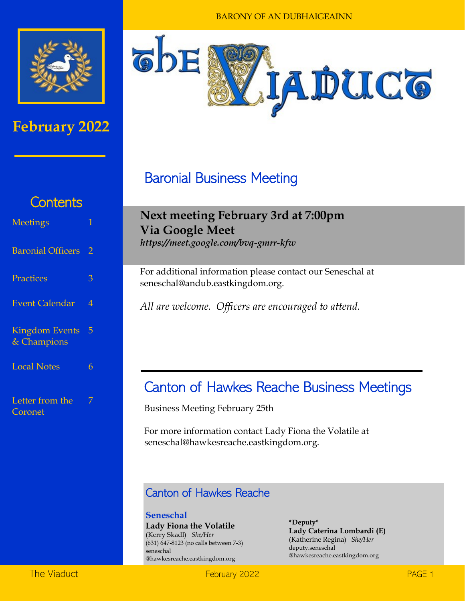

### **February 2022**



BARONY OF AN DUBHAIGEAINN

## Baronial Business Meeting

## **Next meeting February 3rd at 7:00pm Via Google Meet**

*https://meet.google.com/bvq-gmrr-kfw* 

For additional information please contact our Seneschal at seneschal@andub.eastkingdom.org.

*All are welcome. Officers are encouraged to attend.* 

### Canton of Hawkes Reache Business Meetings

Business Meeting February 25th

For more information contact Lady Fiona the Volatile at seneschal@hawkesreache.eastkingdom.org.

#### Canton of Hawkes Reache

**Seneschal Lady Fiona the Volatile** (Kerry Skadl) *She/Her* (631) 647-8123 (no calls between 7-3) seneschal @hawkesreache.eastkingdom.org

**\*Deputy\* Lady Caterina Lombardi (E)** (Katherine Regina) *She/Her* deputy.seneschal @hawkesreache.eastkingdom.org

## **Contents**

| <b>Meetings</b>                      |   |
|--------------------------------------|---|
| <b>Baronial Officers</b>             | 2 |
| Practices                            | 3 |
| <b>Event Calendar</b>                | 4 |
| <b>Kingdom Events</b><br>& Champions | 5 |
| <b>Local Notes</b>                   | 6 |
| Letter from the<br>Coronet           | 7 |

The Viaduct **February 2022 February 2022** *PAGE 1*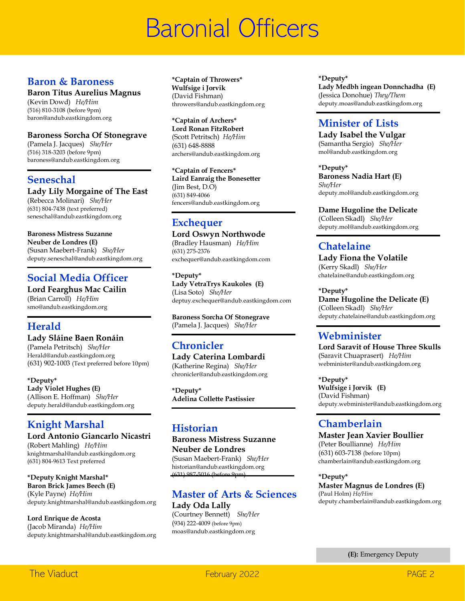## Baronial Officers

#### **Baron & Baroness**

#### **Baron Titus Aurelius Magnus**

(Kevin Dowd) *He/Him* (516) 810-3108 (before 9pm) baron@andub.eastkingdom.org

#### **Baroness Sorcha Of Stonegrave**

(Pamela J. Jacques) *She/Her* (516) 318-3203 (before 9pm) baroness@andub.eastkingdom.org

#### **Seneschal**

**Lady Lily Morgaine of The East** 

(Rebecca Molinari) *She/Her* (631) 804-7438 (text preferred) seneschal@andub.eastkingdom.org

#### **Baroness Mistress Suzanne Neuber de Londres (E)** (Susan Maebert-Frank) *She/Her* deputy.seneschal@andub.eastkingdom.org

#### **Social Media Officer**

**Lord Fearghus Mac Cailin** (Brian Carroll) *He/Him* smo@andub.eastkingdom.org

#### **Herald**

**Lady Sláine Baen Ronáin** (Pamela Petritsch) *She/Her* Herald@andub.eastkingdom.org (631) 902-1003 (Text preferred before 10pm)

**\*Deputy\* Lady Violet Hughes (E)** (Allison E. Hoffman) *She/Her* deputy.herald@andub.eastkingdom.org

#### **Knight Marshal**

**Lord Antonio Giancarlo Nicastri** (Robert Mahling) *He/Him* knightmarshal@andub.eastkingdom.org (631) 804-9613 Text preferred

**\*Deputy Knight Marshal\* Baron Brick James Beech (E)** (Kyle Payne) *He/Him* deputy.knightmarshal@andub.eastkingdom.org

**Lord Enrique de Acosta** (Jacob Miranda) *He/Him* deputy.knightmarshal@andub.eastkingdom.org **\*Captain of Throwers\* Wulfsige i Jorvik**  (David Fishman) throwers@andub.eastkingdom.org

**\*Captain of Archers\* Lord Ronan FitzRobert** (Scott Petritsch) *He/Him* (631) 648-8888 archers@andub.eastkingdom.org

**\*Captain of Fencers\* Laird Eanraig the Bonesetter** (Jim Best, D.O) (631) 849-4066 fencers@andub.eastkingdom.org

#### **Exchequer**

**Lord Oswyn Northwode** (Bradley Hausman) *He/Him* (631) 275-2376 exchequer@andub.eastkingdom.com

**\*Deputy\* Lady VetraTrys Kaukoles (E)** (Lisa Soto) *She/Her* deptuy.exchequer@andub.eastkingdom.com

**Baroness Sorcha Of Stonegrave** (Pamela J. Jacques) *She/Her*

#### **Chronicler**

**Lady Caterina Lombardi**  (Katherine Regina) *She/Her* chronicler@andub.eastkingdom.org

**\*Deputy\* Adelina Collette Pastissier**

#### **Historian**

**Baroness Mistress Suzanne Neuber de Londres**

(Susan Maebert-Frank) *She/Her* historian@andub.eastkingdom.org (631) 987-5016 (before 9pm)

#### **Master of Arts & Sciences Lady Oda Lally**

(Courtney Bennett) *She/Her* (934) 222-4009 (before 9pm) moas@andub.eastkingdom.org

**\*Deputy\* Lady Medbh ingean Donnchadha (E)** (Jessica Donohue) *They/Them* deputy.moas@andub.eastkingdom.org

#### **Minister of Lists**

**Lady Isabel the Vulgar** (Samantha Sergio) *She/Her* mol@andub.eastkingdom.org

**\*Deputy\* Baroness Nadia Hart (E)** *She/Her* deputy.mol@andub.eastkingdom.org

**Dame Hugoline the Delicate**

(Colleen Skadl) *She/Her* deputy.mol@andub.eastkingdom.org

#### **Chatelaine**

**Lady Fiona the Volatile**  (Kerry Skadl) *She/Her* chatelaine@andub.eastkingdom.org

**\*Deputy\***

**Dame Hugoline the Delicate (E)** (Colleen Skadl) *She/Her* deputy.chatelaine@andub.eastkingdom.org

#### **Webminister**

**Lord Saravit of House Three Skulls** (Saravit Chuaprasert) *He/Him* webminister@andub.eastkingdom.org

**\*Deputy\* Wulfsige i Jorvik (E)** (David Fishman) deputy.webminister@andub.eastkingdom.org

#### **Chamberlain**

**Master Jean Xavier Boullier** (Peter Boullianne) *He/Him* (631) 603-7138 (before 10pm) chamberlain@andub.eastkingdom.org

**\*Deputy\* Master Magnus de Londres (E)** (Paul Holm) *He/Him* deputy.chamberlain@andub.eastkingdom.org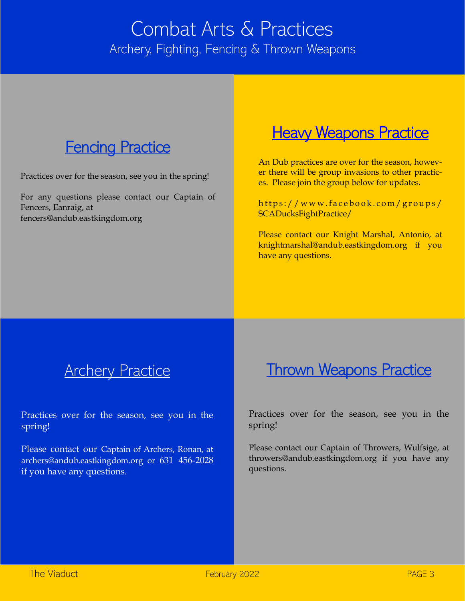## Combat Arts & Practices Archery, Fighting, Fencing & Thrown Weapons



Practices over for the season, see you in the spring!

For any questions please contact our Captain of Fencers, Eanraig, at fencers@andub.eastkingdom.org

## **Heavy Weapons Practice**

An Dub practices are over for the season, however there will be group invasions to other practices. Please join the group below for updates.

https://www.facebook.com/groups/ SCADucksFightPractice/

Please contact our Knight Marshal, Antonio, at knightmarshal@andub.eastkingdom.org if you have any questions.

## **Archery Practice**

Practices over for the season, see you in the spring!

Please contact our Captain of Archers, Ronan, at archers@andub.eastkingdom.org or 631 456-2028 if you have any questions.

## **Thrown Weapons Practice**

Practices over for the season, see you in the spring!

Please contact our Captain of Throwers, Wulfsige, at throwers@andub.eastkingdom.org if you have any questions.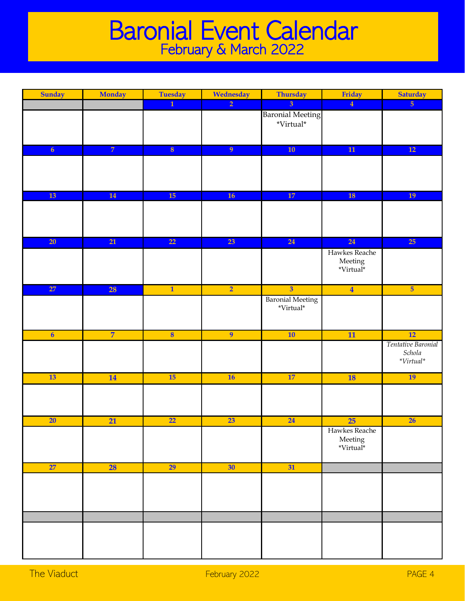## Baronial Event Calendar February & March 2022

| Sunday                  | <b>Monday</b>   | <b>Tuesday</b>          | Wednesday      | <b>Thursday</b>                                     | Friday                                               | <b>Saturday</b>                                         |
|-------------------------|-----------------|-------------------------|----------------|-----------------------------------------------------|------------------------------------------------------|---------------------------------------------------------|
|                         |                 | $\overline{1}$          | $\overline{2}$ | $\overline{3}$                                      | $\overline{4}$                                       | 5 <sub>5</sub>                                          |
|                         |                 |                         |                | <b>Baronial Meeting</b><br>$^*\!\mathit{Virtual}^*$ |                                                      |                                                         |
| 6 <sup>1</sup>          | $\overline{7}$  | $\overline{\mathbf{8}}$ | $\overline{9}$ | 10 <sub>1</sub>                                     | $\overline{11}$                                      | 12                                                      |
|                         |                 |                         |                |                                                     |                                                      |                                                         |
| 13                      | 14              | 15                      | <b>16</b>      | 17                                                  | <b>18</b>                                            | 19                                                      |
|                         |                 |                         |                |                                                     |                                                      |                                                         |
| 20                      | 21              | $\overline{22}$         | 23             | 24                                                  | 24                                                   | 25                                                      |
|                         |                 |                         |                |                                                     | Hawkes Reache<br>${\rm Meeting}$<br>*Virtual*        |                                                         |
| 27                      | 28              | $\mathbf{1}$            | $\overline{2}$ | $\overline{\mathbf{3}}$                             | $\overline{\mathbf{4}}$                              | 5 <sup>5</sup>                                          |
|                         |                 |                         |                | <b>Baronial Meeting</b><br>$^*\!V\!irtual^*$        |                                                      |                                                         |
| $\overline{\mathbf{6}}$ | $\overline{7}$  | $\overline{\mathbf{8}}$ | $\overline{9}$ | 10                                                  | $\overline{11}$                                      | 12                                                      |
|                         |                 |                         |                |                                                     |                                                      | Tentative Baronial<br>Schola<br>$^{\ast}Virtual^{\ast}$ |
| 13                      | 14              | 15                      | 16             | 17                                                  | <b>18</b>                                            | 19                                                      |
|                         |                 |                         |                |                                                     |                                                      |                                                         |
| $\overline{20}$         | $\overline{21}$ | $\overline{22}$         | 23             | $\overline{24}$                                     | 25                                                   | $\overline{26}$                                         |
|                         |                 |                         |                |                                                     | Hawkes Reache<br>${\rm Meeting} \\ {\bf ``Virtual*}$ |                                                         |
| 27                      | <b>28</b>       | 29                      | 30             | 31                                                  |                                                      |                                                         |
|                         |                 |                         |                |                                                     |                                                      |                                                         |
|                         |                 |                         |                |                                                     |                                                      |                                                         |
|                         |                 |                         |                |                                                     |                                                      |                                                         |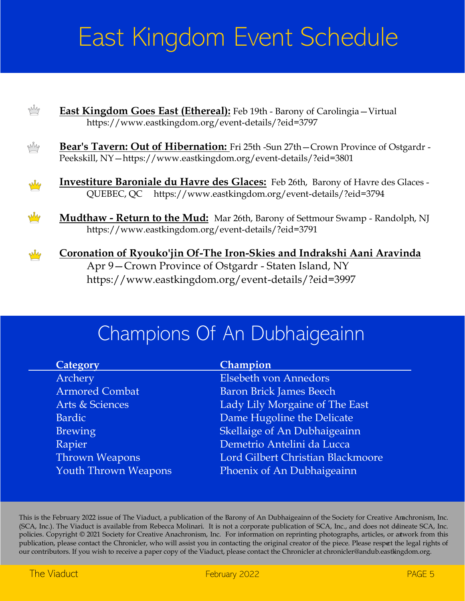# East Kingdom Event Schedule

| pMp        | <b>East Kingdom Goes East (Ethereal):</b> Feb 19th - Barony of Carolingia - Virtual<br>https://www.eastkingdom.org/event-details/?eid=3797                                              |
|------------|-----------------------------------------------------------------------------------------------------------------------------------------------------------------------------------------|
| Ny         | Bear's Tavern: Out of Hibernation: Fri 25th -Sun 27th - Crown Province of Ostgardr -<br>Peekskill, NY-https://www.eastkingdom.org/event-details/?eid=3801                               |
| My         | Investiture Baroniale du Havre des Glaces: Feb 26th, Barony of Havre des Glaces -<br>QUEBEC, QC https://www.eastkingdom.org/event-details/?eid=3794                                     |
| <b>W</b> y | <b>Mudthaw - Return to the Mud:</b> Mar 26th, Barony of Settmour Swamp - Randolph, NJ<br>https://www.eastkingdom.org/event-details/?eid=3791                                            |
| <b>W</b> y | Coronation of Ryouko'jin Of-The Iron-Skies and Indrakshi Aani Aravinda<br>Apr 9 – Crown Province of Ostgardr - Staten Island, NY<br>https://www.eastkingdom.org/event-details/?eid=3997 |

## Champions Of An Dubhaigeainn

| Category                    | Champion                          |
|-----------------------------|-----------------------------------|
| Archery                     | Elsebeth von Annedors             |
| <b>Armored Combat</b>       | <b>Baron Brick James Beech</b>    |
| Arts & Sciences             | Lady Lily Morgaine of The East    |
| Bardic                      | Dame Hugoline the Delicate        |
| <b>Brewing</b>              | Skellaige of An Dubhaigeainn      |
| Rapier                      | Demetrio Antelini da Lucca        |
| Thrown Weapons              | Lord Gilbert Christian Blackmoore |
| <b>Youth Thrown Weapons</b> | Phoenix of An Dubhaigeainn        |
|                             |                                   |

This is the February 2022 issue of The Viaduct, a publication of the Barony of An Dubhaigeainn of the Society for Creative Anachronism, Inc. (SCA, Inc.). The Viaduct is available from Rebecca Molinari. It is not a corporate publication of SCA, Inc., and does not ddineate SCA, Inc. policies. Copyright © 2021 Society for Creative Anachronism, Inc. For information on reprinting photographs, articles, or artwork from this publication, please contact the Chronicler, who will assist you in contacting the original creator of the piece. Please respect the legal rights of our contributors. If you wish to receive a paper copy of the Viaduct, please contact the Chronicler at chronicler@andub.eastkingdom.org.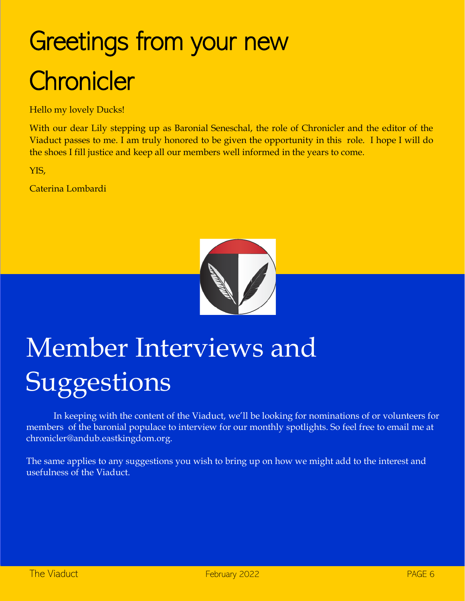# Greetings from your new **Chronicler**

Hello my lovely Ducks!

With our dear Lily stepping up as Baronial Seneschal, the role of Chronicler and the editor of the Viaduct passes to me. I am truly honored to be given the opportunity in this role. I hope I will do the shoes I fill justice and keep all our members well informed in the years to come.

YIS,

Caterina Lombardi



# Member Interviews and **Suggestions**

In keeping with the content of the Viaduct, we'll be looking for nominations of or volunteers for members of the baronial populace to interview for our monthly spotlights. So feel free to email me at chronicler@andub.eastkingdom.org.

The same applies to any suggestions you wish to bring up on how we might add to the interest and usefulness of the Viaduct.